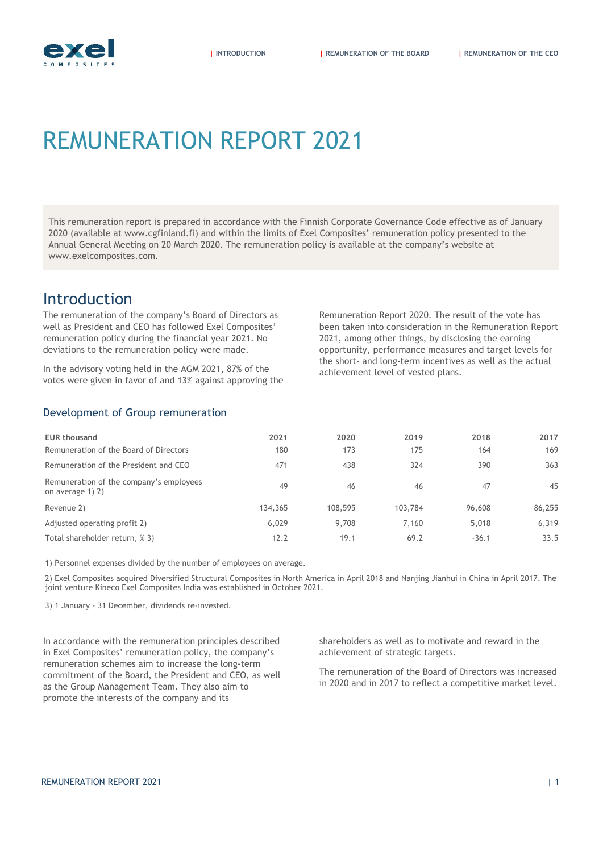

# REMUNERATION REPORT 2021

This remuneration report is prepared in accordance with the Finnish Corporate Governance Code effective as of January 2020 (available at www.cgfinland.fi) and within the limits of Exel Composites' remuneration policy presented to the Annual General Meeting on 20 March 2020. The remuneration policy is available at the company's website at www.exelcomposites.com.

### Introduction

<span id="page-0-0"></span>The remuneration of the company's Board of Directors as well as President and CEO has followed Exel Composites' remuneration policy during the financial year 2021. No deviations to the remuneration policy were made.

In the advisory voting held in the AGM 2021, 87% of the votes were given in favor of and 13% against approving the

Remuneration Report 2020. The result of the vote has been taken into consideration in the Remuneration Report 2021, among other things, by disclosing the earning opportunity, performance measures and target levels for the short- and long-term incentives as well as the actual achievement level of vested plans.

#### Development of Group remuneration

| <b>EUR thousand</b>                                         | 2021    | 2020    | 2019    | 2018    | 2017   |
|-------------------------------------------------------------|---------|---------|---------|---------|--------|
| Remuneration of the Board of Directors                      | 180     | 173     | 175     | 164     | 169    |
| Remuneration of the President and CEO                       | 471     | 438     | 324     | 390     | 363    |
| Remuneration of the company's employees<br>on average 1) 2) | 49      | 46      | 46      | 47      | 45     |
| Revenue 2)                                                  | 134,365 | 108,595 | 103,784 | 96,608  | 86,255 |
| Adjusted operating profit 2)                                | 6.029   | 9,708   | 7.160   | 5,018   | 6.319  |
| Total shareholder return, % 3)                              | 12.2    | 19.1    | 69.2    | $-36.1$ | 33.5   |

1) Personnel expenses divided by the number of employees on average.

2) Exel Composites acquired Diversified Structural Composites in North America in April 2018 and Nanjing Jianhui in China in April 2017. The joint venture Kineco Exel Composites India was established in October 2021.

3) 1 January - 31 December, dividends re-invested.

In accordance with the remuneration principles described in Exel Composites' remuneration policy, the company's remuneration schemes aim to increase the long-term commitment of the Board, the President and CEO, as well as the Group Management Team. They also aim to promote the interests of the company and its

shareholders as well as to motivate and reward in the achievement of strategic targets.

The remuneration of the Board of Directors was increased in 2020 and in 2017 to reflect a competitive market level.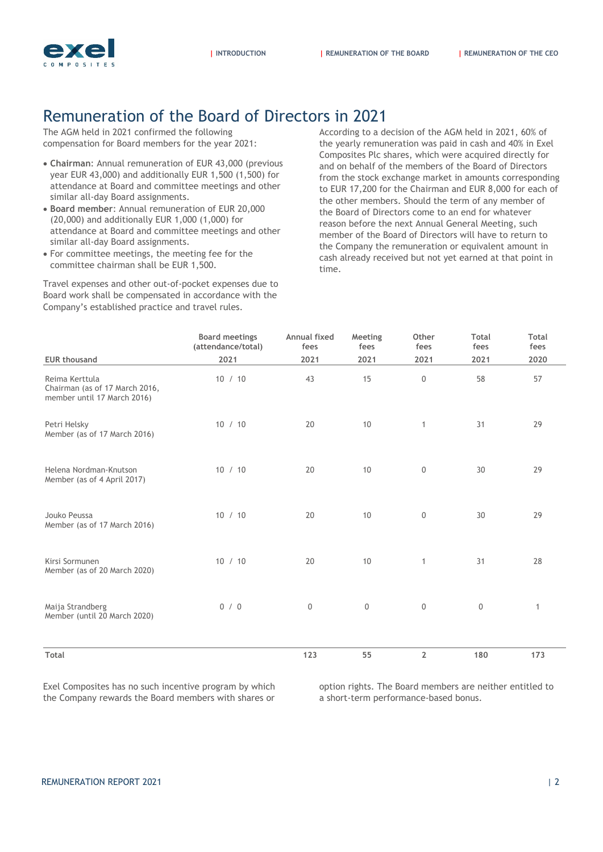

# Remuneration of the Board of Directors in 2021

<span id="page-1-0"></span>The AGM held in 2021 confirmed the following compensation for Board members for the year 2021:

- **Chairman**: Annual remuneration of EUR 43,000 (previous year EUR 43,000) and additionally EUR 1,500 (1,500) for attendance at Board and committee meetings and other similar all-day Board assignments.
- **Board member**: Annual remuneration of EUR 20,000 (20,000) and additionally EUR 1,000 (1,000) for attendance at Board and committee meetings and other similar all-day Board assignments.
- For committee meetings, the meeting fee for the committee chairman shall be EUR 1,500.

Travel expenses and other out-of-pocket expenses due to Board work shall be compensated in accordance with the Company's established practice and travel rules.

According to a decision of the AGM held in 2021, 60% of the yearly remuneration was paid in cash and 40% in Exel Composites Plc shares, which were acquired directly for and on behalf of the members of the Board of Directors from the stock exchange market in amounts corresponding to EUR 17,200 for the Chairman and EUR 8,000 for each of the other members. Should the term of any member of the Board of Directors come to an end for whatever reason before the next Annual General Meeting, such member of the Board of Directors will have to return to the Company the remuneration or equivalent amount in cash already received but not yet earned at that point in time.

|                                                                                 | <b>Board meetings</b><br>(attendance/total) | Annual fixed<br>fees | Meeting<br>fees     | Other<br>fees    | Total<br>fees | Total<br>fees |
|---------------------------------------------------------------------------------|---------------------------------------------|----------------------|---------------------|------------------|---------------|---------------|
| <b>EUR thousand</b>                                                             | 2021                                        | 2021                 | 2021                | 2021             | 2021          | 2020          |
| Reima Kerttula<br>Chairman (as of 17 March 2016,<br>member until 17 March 2016) | 10 / 10                                     | 43                   | 15                  | $\boldsymbol{0}$ | 58            | 57            |
| Petri Helsky<br>Member (as of 17 March 2016)                                    | 10 / 10                                     | 20                   | 10                  | $\mathbf{1}$     | 31            | 29            |
| Helena Nordman-Knutson<br>Member (as of 4 April 2017)                           | 10 / 10                                     | 20                   | 10                  | $\mathbf 0$      | 30            | 29            |
| Jouko Peussa<br>Member (as of 17 March 2016)                                    | 10 / 10                                     | 20                   | 10                  | $\mathbf 0$      | 30            | 29            |
| Kirsi Sormunen<br>Member (as of 20 March 2020)                                  | 10 / 10                                     | 20                   | 10                  | $\mathbf{1}$     | 31            | 28            |
| Maija Strandberg<br>Member (until 20 March 2020)                                | 0/0                                         | $\mathbf 0$          | $\mathsf{O}\xspace$ | $\,0\,$          | $\,0\,$       | $\mathbf{1}$  |
| Total                                                                           |                                             | 123                  | 55                  | $\overline{2}$   | 180           | 173           |

Exel Composites has no such incentive program by which the Company rewards the Board members with shares or

option rights. The Board members are neither entitled to a short-term performance-based bonus.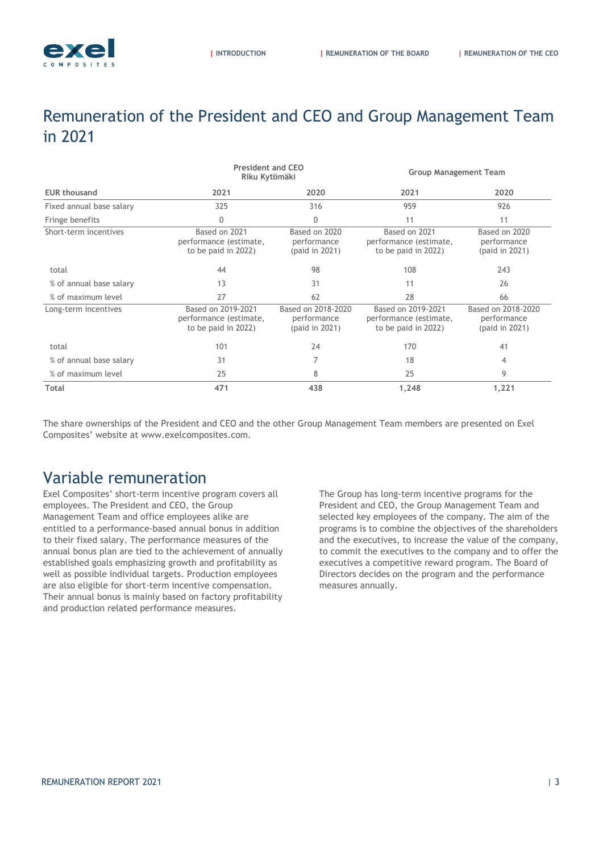# <span id="page-2-0"></span>Remuneration of the President and CEO and Group Management Team in 2021

|                          | <b>President and CEO</b><br>Riku Kytömäki                           |                                                     | <b>Group Management Team</b>                                        |                                                     |  |
|--------------------------|---------------------------------------------------------------------|-----------------------------------------------------|---------------------------------------------------------------------|-----------------------------------------------------|--|
| <b>EUR thousand</b>      | 2021                                                                | 2020                                                | 2021                                                                | 2020                                                |  |
| Fixed annual base salary | 325                                                                 | 316                                                 | 959                                                                 | 926                                                 |  |
| Fringe benefits          | 0                                                                   | 0                                                   | 11                                                                  | 11                                                  |  |
| Short-term incentives    | Based on 2021<br>performance (estimate,<br>to be paid in 2022)      | Based on 2020<br>performance<br>(paid in 2021)      | Based on 2021<br>performance (estimate,<br>to be paid in 2022)      | Based on 2020<br>performance<br>(paid in 2021)      |  |
| total                    | 44                                                                  | 98                                                  | 108                                                                 | 243                                                 |  |
| % of annual base salary  | 13                                                                  | 31                                                  | 11                                                                  | 26                                                  |  |
| % of maximum level       | 27                                                                  | 62                                                  | 28                                                                  | 66                                                  |  |
| Long-term incentives     | Based on 2019-2021<br>performance (estimate,<br>to be paid in 2022) | Based on 2018-2020<br>performance<br>(paid in 2021) | Based on 2019-2021<br>performance (estimate,<br>to be paid in 2022) | Based on 2018-2020<br>performance<br>(paid in 2021) |  |
| total                    | 101                                                                 | 24                                                  | 170                                                                 | 41                                                  |  |
| % of annual base salary  | 31                                                                  | 7                                                   | 18                                                                  | 4                                                   |  |
| % of maximum level       | 25                                                                  | 8                                                   | 25                                                                  | 9                                                   |  |
| Total                    | 471                                                                 | 438                                                 | 1,248                                                               | 1,221                                               |  |

The share ownerships of the President and CEO and the other Group Management Team members are presented on Exel Composites' website at www.exelcomposites.com.

# Variable remuneration

Exel Composites' short-term incentive program covers all employees. The President and CEO, the Group Management Team and office employees alike are entitled to a performance-based annual bonus in addition to their fixed salary. The performance measures of the annual bonus plan are tied to the achievement of annually established goals emphasizing growth and profitability as well as possible individual targets. Production employees are also eligible for short-term incentive compensation. Their annual bonus is mainly based on factory profitability and production related performance measures.

The Group has long-term incentive programs for the President and CEO, the Group Management Team and selected key employees of the company. The aim of the programs is to combine the objectives of the shareholders and the executives, to increase the value of the company, to commit the executives to the company and to offer the executives a competitive reward program. The Board of Directors decides on the program and the performance measures annually.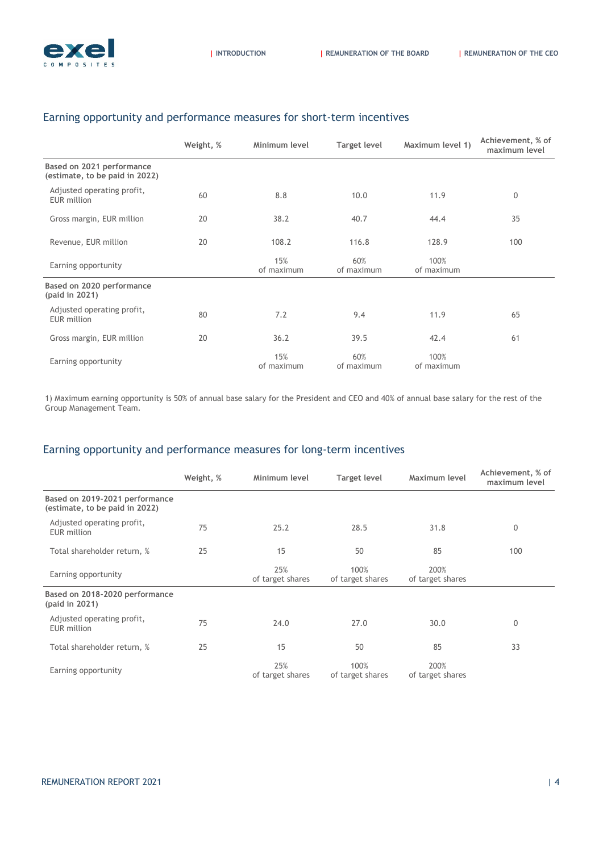

|                                                             | Weight, % | Minimum level     | <b>Target level</b> | Maximum level 1)   | Achievement, % of<br>maximum level |
|-------------------------------------------------------------|-----------|-------------------|---------------------|--------------------|------------------------------------|
| Based on 2021 performance<br>(estimate, to be paid in 2022) |           |                   |                     |                    |                                    |
| Adjusted operating profit,<br>EUR million                   | 60        | 8.8               | 10.0                | 11.9               | $\mathbf 0$                        |
| Gross margin, EUR million                                   | 20        | 38.2              | 40.7                | 44.4               | 35                                 |
| Revenue, EUR million                                        | 20        | 108.2             | 116.8               | 128.9              | 100                                |
| Earning opportunity                                         |           | 15%<br>of maximum | 60%<br>of maximum   | 100%<br>of maximum |                                    |
| Based on 2020 performance<br>(paid in 2021)                 |           |                   |                     |                    |                                    |
| Adjusted operating profit,<br>EUR million                   | 80        | 7.2               | 9.4                 | 11.9               | 65                                 |
| Gross margin, EUR million                                   | 20        | 36.2              | 39.5                | 42.4               | 61                                 |
| Earning opportunity                                         |           | 15%<br>of maximum | 60%<br>of maximum   | 100%<br>of maximum |                                    |

#### Earning opportunity and performance measures for short-term incentives

1) Maximum earning opportunity is 50% of annual base salary for the President and CEO and 40% of annual base salary for the rest of the Group Management Team.

#### Earning opportunity and performance measures for long-term incentives

|                                                                  | Weight, % | Minimum level           | <b>Target level</b>      | Maximum level            | Achievement, % of<br>maximum level |
|------------------------------------------------------------------|-----------|-------------------------|--------------------------|--------------------------|------------------------------------|
| Based on 2019-2021 performance<br>(estimate, to be paid in 2022) |           |                         |                          |                          |                                    |
| Adjusted operating profit,<br>EUR million                        | 75        | 25.2                    | 28.5                     | 31.8                     | 0                                  |
| Total shareholder return, %                                      | 25        | 15                      | 50                       | 85                       | 100                                |
| Earning opportunity                                              |           | 25%<br>of target shares | 100%<br>of target shares | 200%<br>of target shares |                                    |
| Based on 2018-2020 performance<br>(paid in 2021)                 |           |                         |                          |                          |                                    |
| Adjusted operating profit,<br><b>EUR</b> million                 | 75        | 24.0                    | 27.0                     | 30.0                     | $\mathbf 0$                        |
| Total shareholder return, %                                      | 25        | 15                      | 50                       | 85                       | 33                                 |
| Earning opportunity                                              |           | 25%<br>of target shares | 100%<br>of target shares | 200%<br>of target shares |                                    |